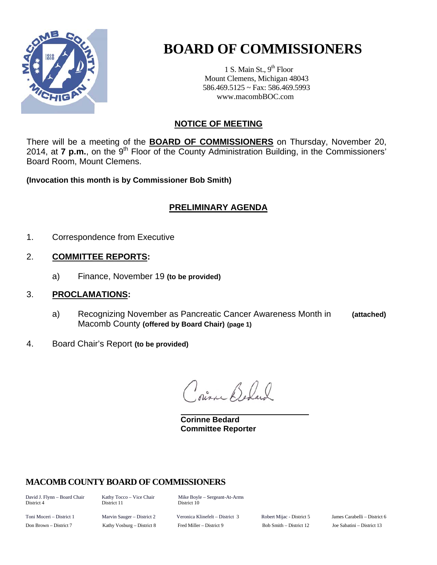

# **BOARD OF COMMISSIONERS**

1 S. Main St.,  $9<sup>th</sup>$  Floor Mount Clemens, Michigan 48043 586.469.5125 ~ Fax: 586.469.5993 www.macombBOC.com

# **NOTICE OF MEETING**

There will be a meeting of the **BOARD OF COMMISSIONERS** on Thursday, November 20, 2014, at **7 p.m.**, on the 9<sup>th</sup> Floor of the County Administration Building, in the Commissioners' Board Room, Mount Clemens.

**(Invocation this month is by Commissioner Bob Smith)** 

## **PRELIMINARY AGENDA**

1. Correspondence from Executive

## 2. **COMMITTEE REPORTS:**

a) Finance, November 19 **(to be provided)** 

## 3. **PROCLAMATIONS:**

- a) Recognizing November as Pancreatic Cancer Awareness Month in **(attached)** Macomb County **(offered by Board Chair) (page 1)**
- 4. Board Chair's Report **(to be provided)**

Prince Before

 **Corinne Bedard Committee Reporter** 

## **MACOMB COUNTY BOARD OF COMMISSIONERS**

District 11 District 10

David J. Flynn – Board Chair Kathy Tocco – Vice Chair Mike Boyle – Sergeant-At-Arms<br>District 4 District 11 District 10

Toni Moceri – District 1 Marvin Sauger – District 2 Veronica Klinefelt – District 3 Robert Mijac - District 5 James Carabelli – District 6 Don Brown – District 7 Kathy Vosburg – District 8 Fred Miller – District 9 Bob Smith – District 12 Joe Sabatini – District 13